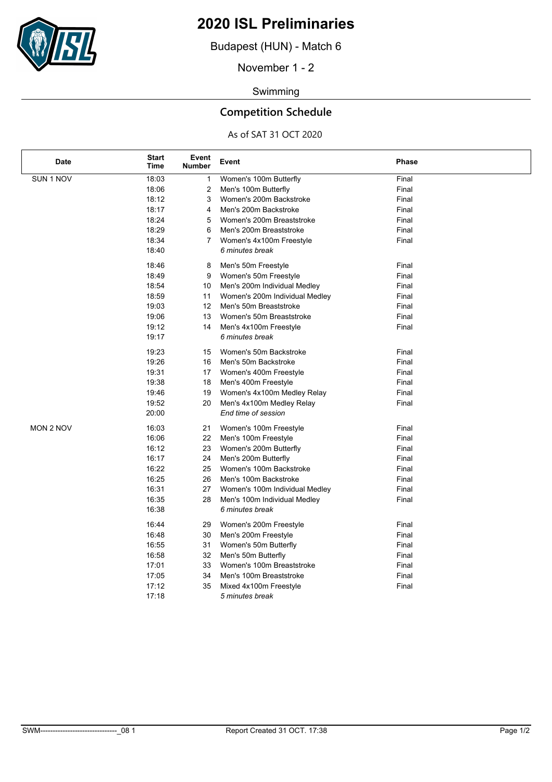

## **2020 ISL Preliminaries**

Budapest (HUN) - Match 6

November 1 - 2

### Swimming

## **Competition Schedule**

### As of SAT 31 OCT 2020

| <b>Date</b> | <b>Start</b><br>Time | Event<br><b>Number</b> | Event                          | <b>Phase</b> |
|-------------|----------------------|------------------------|--------------------------------|--------------|
| SUN 1 NOV   | 18:03                | 1                      | Women's 100m Butterfly         | Final        |
|             | 18:06                | 2                      | Men's 100m Butterfly           | Final        |
|             | 18:12                | 3                      | Women's 200m Backstroke        | Final        |
|             | 18:17                | 4                      | Men's 200m Backstroke          | Final        |
|             | 18:24                | 5                      | Women's 200m Breaststroke      | Final        |
|             | 18:29                | 6                      | Men's 200m Breaststroke        | Final        |
|             | 18:34                | $\overline{7}$         | Women's 4x100m Freestyle       | Final        |
|             | 18:40                |                        | 6 minutes break                |              |
|             | 18:46                | 8                      | Men's 50m Freestyle            | Final        |
|             | 18:49                | 9                      | Women's 50m Freestyle          | Final        |
|             | 18:54                | 10                     | Men's 200m Individual Medley   | Final        |
|             | 18:59                | 11                     | Women's 200m Individual Medley | Final        |
|             | 19:03                | 12                     | Men's 50m Breaststroke         | Final        |
|             | 19:06                | 13                     | Women's 50m Breaststroke       | Final        |
|             | 19:12                | 14                     | Men's 4x100m Freestyle         | Final        |
|             | 19:17                |                        | 6 minutes break                |              |
|             | 19:23                | 15                     | Women's 50m Backstroke         | Final        |
|             | 19:26                | 16                     | Men's 50m Backstroke           | Final        |
|             | 19:31                | 17                     | Women's 400m Freestyle         | Final        |
|             | 19:38                | 18                     | Men's 400m Freestyle           | Final        |
|             | 19:46                | 19                     | Women's 4x100m Medley Relay    | Final        |
|             | 19:52                | 20                     | Men's 4x100m Medley Relay      | Final        |
|             | 20:00                |                        | End time of session            |              |
| MON 2 NOV   | 16:03                | 21                     | Women's 100m Freestyle         | Final        |
|             | 16:06                | 22                     | Men's 100m Freestyle           | Final        |
|             | 16:12                | 23                     | Women's 200m Butterfly         | Final        |
|             | 16:17                | 24                     | Men's 200m Butterfly           | Final        |
|             | 16:22                | 25                     | Women's 100m Backstroke        | Final        |
|             | 16:25                | 26                     | Men's 100m Backstroke          | Final        |
|             | 16:31                | 27                     | Women's 100m Individual Medley | Final        |
|             | 16:35                | 28                     | Men's 100m Individual Medley   | Final        |
|             | 16:38                |                        | 6 minutes break                |              |
|             | 16:44                | 29                     | Women's 200m Freestyle         | Final        |
|             | 16:48                | 30                     | Men's 200m Freestyle           | Final        |
|             | 16:55                | 31                     | Women's 50m Butterfly          | Final        |
|             | 16:58                | 32                     | Men's 50m Butterfly            | Final        |
|             | 17:01                | 33                     | Women's 100m Breaststroke      | Final        |
|             | 17:05                | 34                     | Men's 100m Breaststroke        | Final        |
|             | 17:12                | 35                     | Mixed 4x100m Freestyle         | Final        |
|             | 17:18                |                        | 5 minutes break                |              |